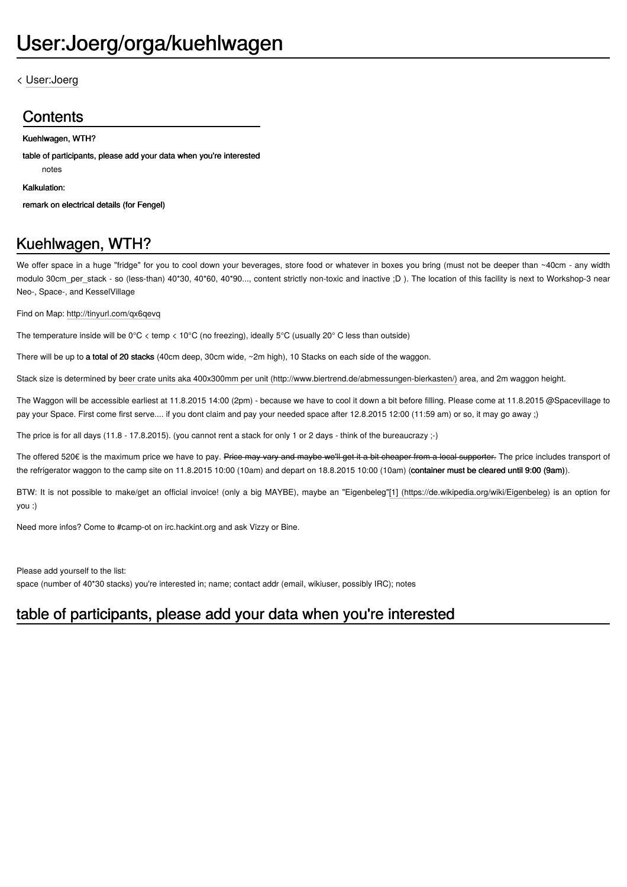#### < [User:Joerg](https://events.ccc.de/camp/2015/wiki/User:Joerg)

### **Contents**

#### [Kuehlwagen,](https://events.ccc.de/camp/2015/wiki/User:Joerg/orga/kuehlwagen#Kuehlwagen.2C_WTH.3F) WTH?

table of [participants,](https://events.ccc.de/camp/2015/wiki/User:Joerg/orga/kuehlwagen#table_of_participants.2C_please_add_your_data_when_you.27re_interested) please add your data when you're interested

[notes](https://events.ccc.de/camp/2015/wiki/User:Joerg/orga/kuehlwagen#notes)

[Kalkulation:](https://events.ccc.de/camp/2015/wiki/User:Joerg/orga/kuehlwagen#Kalkulation:)

remark on [electrical](https://events.ccc.de/camp/2015/wiki/User:Joerg/orga/kuehlwagen#remark_on_electrical_details_.28for_Fengel.29) details (for Fengel)

# Kuehlwagen, WTH?

We offer space in a huge "fridge" for you to cool down your beverages, store food or whatever in boxes you bring (must not be deeper than ~40cm - any width modulo 30cm\_per\_stack - so (less-than) 40\*30, 40\*60, 40\*90..., content strictly non-toxic and inactive ;D ). The location of this facility is next to Workshop-3 near Neo-, Space-, and KesselVillage

Find on Map: <http://tinyurl.com/qx6qevq>

The temperature inside will be 0°C < temp < 10°C (no freezing), ideally 5°C (usually 20° C less than outside)

There will be up to a total of 20 stacks (40cm deep, 30cm wide, ~2m high), 10 Stacks on each side of the waggon.

Stack size is determined by beer crate units aka 400x300mm per unit [\(http://www.biertrend.de/abmessungen-bierkasten/\)](http://www.biertrend.de/abmessungen-bierkasten/) area, and 2m waggon height.

The Waggon will be accessible earliest at 11.8.2015 14:00 (2pm) - because we have to cool it down a bit before filling. Please come at 11.8.2015 @Spacevillage to pay your Space. First come first serve.... if you dont claim and pay your needed space after 12.8.2015 12:00 (11:59 am) or so, it may go away ;)

The price is for all days (11.8 - 17.8.2015). (you cannot rent a stack for only 1 or 2 days - think of the bureaucrazy ;-)

The offered 520€ is the maximum price we have to pay. Price may vary and maybe we'll get it a bit cheaper from a local supporter. The price includes transport of the refrigerator waggon to the camp site on 11.8.2015 10:00 (10am) and depart on 18.8.2015 10:00 (10am) (container must be cleared until 9:00 (9am)).

BTW: It is not possible to make/get an official invoice! (only a big MAYBE), maybe an "Eigenbeleg"[1] [\(https://de.wikipedia.org/wiki/Eigenbeleg\)](https://de.wikipedia.org/wiki/Eigenbeleg) is an option for you :)

Need more infos? Come to #camp-ot on irc.hackint.org and ask Vizzy or Bine.

Please add yourself to the list:

space (number of 40\*30 stacks) you're interested in; name; contact addr (email, wikiuser, possibly IRC); notes

## table of participants, please add your data when you're interested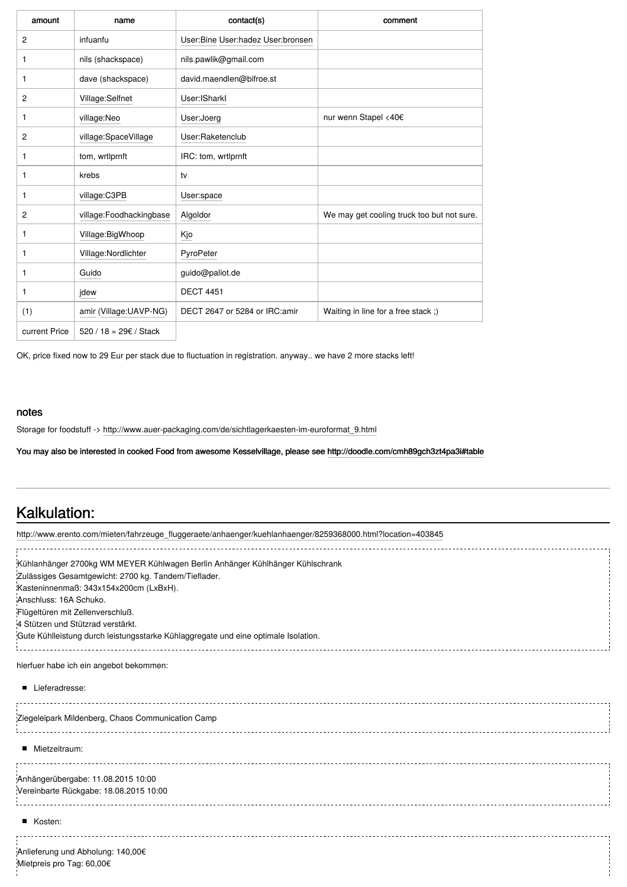| amount        | name                    | contact(s)                        | comment                                    |
|---------------|-------------------------|-----------------------------------|--------------------------------------------|
| 2             | infuanfu                | User:Bine User:hadez User:bronsen |                                            |
| 1             | nils (shackspace)       | nils.pawlik@gmail.com             |                                            |
| 1             | dave (shackspace)       | david.maendlen@bifroe.st          |                                            |
| 2             | Village:Selfnet         | User: ISharkl                     |                                            |
| 1             | village:Neo             | User:Joerg                        | nur wenn Stapel <40€                       |
| 2             | village:SpaceVillage    | User:Raketenclub                  |                                            |
| 1             | tom, wrtlprnft          | IRC: tom, wrtlprnft               |                                            |
| 1             | krebs                   | tv                                |                                            |
| 1             | village:C3PB            | User:space                        |                                            |
| 2             | village:Foodhackingbase | Algoldor                          | We may get cooling truck too but not sure. |
| 1             | Village: Big Whoop      | Kjo                               |                                            |
| 1             | Village: Nordlichter    | PyroPeter                         |                                            |
| 1             | Guido                   | guido@paliot.de                   |                                            |
| 1             | jdew                    | <b>DECT 4451</b>                  |                                            |
| (1)           | amir (Village:UAVP-NG)  | DECT 2647 or 5284 or IRC: amir    | Waiting in line for a free stack;)         |
| current Price | 520 / 18 = 29€ / Stack  |                                   |                                            |

OK, price fixed now to 29 Eur per stack due to fluctuation in registration. anyway.. we have 2 more stacks left!

#### notes

Storage for foodstuff -> [http://www.auer-packaging.com/de/sichtlagerkaesten-im-euroformat\\_9.html](http://www.auer-packaging.com/de/sichtlagerkaesten-im-euroformat_9.html)

You may also be interested in cooked Food from awesome Kesselvillage, please see <http://doodle.com/cmh89gch3zt4pa3i#table>

### Kalkulation:

| http://www.erento.com/mieten/fahrzeuge_fluggeraete/anhaenger/kuehlanhaenger/8259368000.html?location=403845 |  |
|-------------------------------------------------------------------------------------------------------------|--|
| Kühlanhänger 2700kg WM MEYER Kühlwagen Berlin Anhänger Kühlhänger Kühlschrank                               |  |
| Zulässiges Gesamtgewicht: 2700 kg. Tandem/Tieflader.                                                        |  |
| Kasteninnenmaß: 343x154x200cm (LxBxH).                                                                      |  |
| Anschluss: 16A Schuko.                                                                                      |  |
| Flügeltüren mit Zellenverschluß.                                                                            |  |
| 4 Stützen und Stützrad verstärkt.                                                                           |  |
| Gute Kühlleistung durch leistungsstarke Kühlaggregate und eine optimale Isolation.                          |  |
| hierfuer habe ich ein angebot bekommen:                                                                     |  |
| Lieferadresse:                                                                                              |  |
| Ziegeleipark Mildenberg, Chaos Communication Camp                                                           |  |
| Mietzeitraum:                                                                                               |  |
| Anhängerübergabe: 11.08.2015 10:00                                                                          |  |
| Vereinbarte Rückgabe: 18.08.2015 10:00<br>_______________________________                                   |  |
| Kosten:                                                                                                     |  |
| Anlieferung und Abholung: 140,00€<br>Mietpreis pro Tag: 60,00€                                              |  |